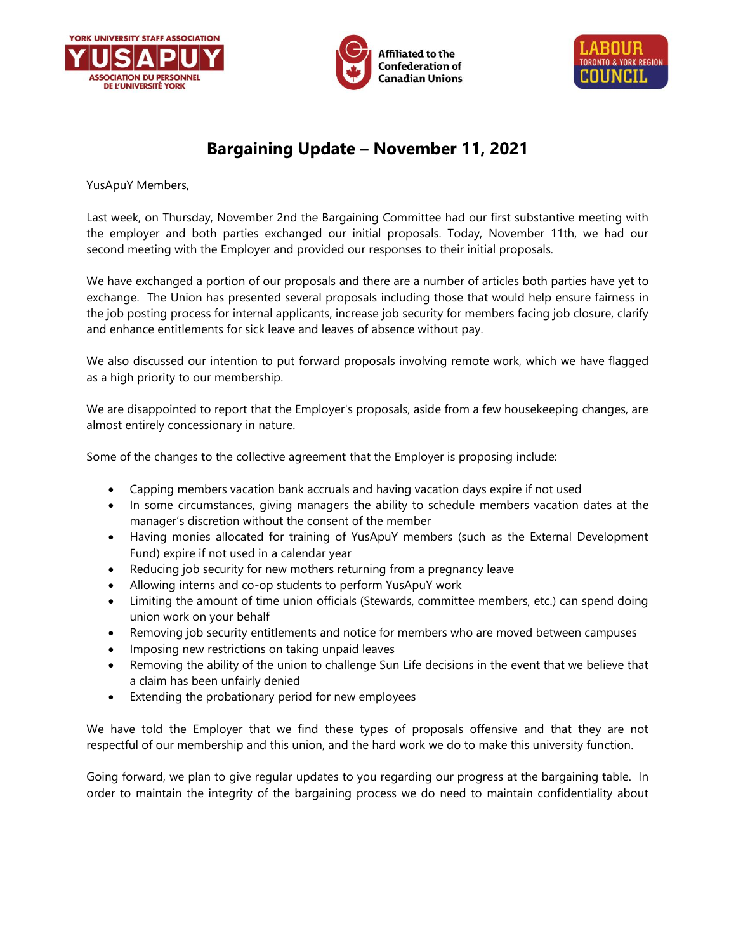





## **Bargaining Update – November 11, 2021**

YusApuY Members,

Last week, on Thursday, November 2nd the Bargaining Committee had our first substantive meeting with the employer and both parties exchanged our initial proposals. Today, November 11th, we had our second meeting with the Employer and provided our responses to their initial proposals.

We have exchanged a portion of our proposals and there are a number of articles both parties have yet to exchange. The Union has presented several proposals including those that would help ensure fairness in the job posting process for internal applicants, increase job security for members facing job closure, clarify and enhance entitlements for sick leave and leaves of absence without pay.

We also discussed our intention to put forward proposals involving remote work, which we have flagged as a high priority to our membership.

We are disappointed to report that the Employer's proposals, aside from a few housekeeping changes, are almost entirely concessionary in nature.

Some of the changes to the collective agreement that the Employer is proposing include:

- Capping members vacation bank accruals and having vacation days expire if not used
- In some circumstances, giving managers the ability to schedule members vacation dates at the manager's discretion without the consent of the member
- Having monies allocated for training of YusApuY members (such as the External Development Fund) expire if not used in a calendar year
- Reducing job security for new mothers returning from a pregnancy leave
- Allowing interns and co-op students to perform YusApuY work
- Limiting the amount of time union officials (Stewards, committee members, etc.) can spend doing union work on your behalf
- Removing job security entitlements and notice for members who are moved between campuses
- Imposing new restrictions on taking unpaid leaves
- Removing the ability of the union to challenge Sun Life decisions in the event that we believe that a claim has been unfairly denied
- Extending the probationary period for new employees

We have told the Employer that we find these types of proposals offensive and that they are not respectful of our membership and this union, and the hard work we do to make this university function.

Going forward, we plan to give regular updates to you regarding our progress at the bargaining table. In order to maintain the integrity of the bargaining process we do need to maintain confidentiality about